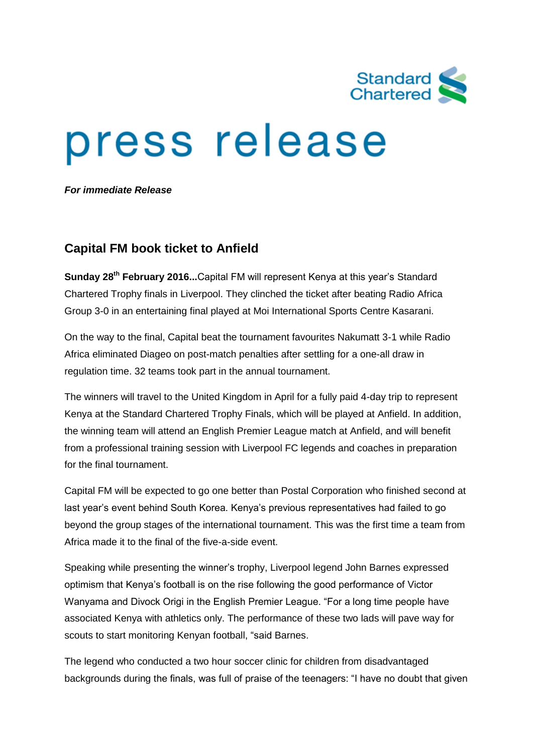

# press release

*For immediate Release*

## **Capital FM book ticket to Anfield**

**Sunday 28th February 2016...**Capital FM will represent Kenya at this year's Standard Chartered Trophy finals in Liverpool. They clinched the ticket after beating Radio Africa Group 3-0 in an entertaining final played at Moi International Sports Centre Kasarani.

On the way to the final, Capital beat the tournament favourites Nakumatt 3-1 while Radio Africa eliminated Diageo on post-match penalties after settling for a one-all draw in regulation time. 32 teams took part in the annual tournament.

The winners will travel to the United Kingdom in April for a fully paid 4-day trip to represent Kenya at the Standard Chartered Trophy Finals, which will be played at Anfield. In addition, the winning team will attend an English Premier League match at Anfield, and will benefit from a professional training session with Liverpool FC legends and coaches in preparation for the final tournament.

Capital FM will be expected to go one better than Postal Corporation who finished second at last year's event behind South Korea. Kenya's previous representatives had failed to go beyond the group stages of the international tournament. This was the first time a team from Africa made it to the final of the five-a-side event.

Speaking while presenting the winner's trophy, Liverpool legend John Barnes expressed optimism that Kenya's football is on the rise following the good performance of Victor Wanyama and Divock Origi in the English Premier League. "For a long time people have associated Kenya with athletics only. The performance of these two lads will pave way for scouts to start monitoring Kenyan football, "said Barnes.

The legend who conducted a two hour soccer clinic for children from disadvantaged backgrounds during the finals, was full of praise of the teenagers: "I have no doubt that given